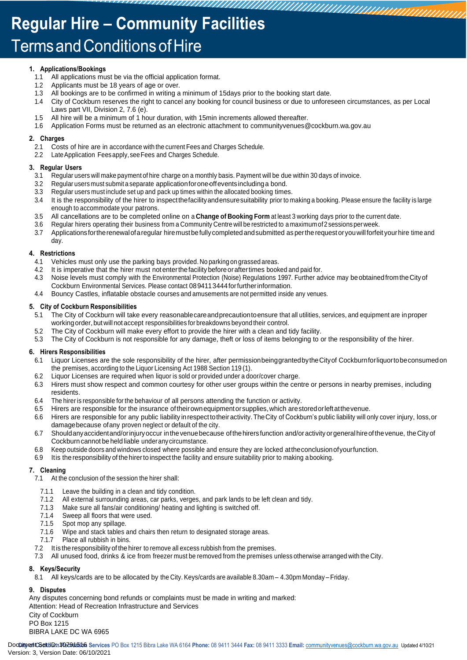# **Regular Hire - Community Facilities Terms and Conditions of Hire**

### **1. Applications/Bookings**

- All applications must be via the official application format.
- 1.2 Applicants must be 18 years of age or over.
- 1.3 All bookings are to be confirmed in writing a minimum of 15days prior to the booking start date.<br>1.4 City of Cockburn reserves the right to cancel any booking for council business or due to unfore
- 1.4 City of Cockburn reserves the right to cancel any booking for council business or due to unforeseen circumstances, as per Local Laws part VII, Division 2, 7.6 (e).
- 1.5 All hire will be a minimum of 1 hour duration, with 15min increments allowed thereafter.
- 1.6 Application Forms must be returned as an electronic attachment to communityvenues@cockburn.wa.gov.au

### **2. Charges**

- 2.1 Costs of hire are in accordance with the current Fees and Charges Schedule.
- 2.2 LateApplication Feesapply,seeFees and Charges Schedule.

### **3. Regular Users**

- 3.1 Regular users will make payment of hire charge on a monthly basis. Payment will be due within 30 days of invoice.
- 3.2 Regular users must submit a separate applicationforone-offeventsincludinga bond.
- 3.3 Regular users must include set up and pack up times within the allocated booking times.
- 3.4 It is the responsibility of the hirer to inspectthefacilityandensuresuitability prior to making a booking. Please ensure the facility is large enough to accommodate your patrons.
- 3.5 All cancellations are to be completed online on a **Change of Booking Form** at least 3 working days prior to the current date.
- 3.6 Regular hirers operating their business from a Community Centre will be restricted to a maximumof2sessionsperweek.
- 3.7 Applicationsfortherenewalofaregular hiremustbefully completedandsubmitted as perthe requestoryouwillforfeit yourhire time and day.

### **4. Restrictions**

- 4.1 Vehicles must only use the parking bays provided. No parking on grassed areas.
- 4.2 It is imperative that the hirer must notenterthefacility beforeoraftertimes booked and paid for.
- 4.3 Noise levels must comply with the Environmental Protection (Noise) Regulations 1997. Further advice may beobtainedfromtheCity of Cockburn Environmental Services. Please contact 0894113444forfurtherinformation.
- 4.4 Bouncy Castles, inflatable obstacle courses and amusements are not permitted inside any venues.

### **5. City of Cockburn Responsibilities**

- 5.1 The City of Cockburn will take every reasonablecareandprecautiontoensure that all utilities, services, and equipment are inproper working order, but will not accept responsibilities for breakdowns beyond their control.
- 5.2 The City of Cockburn will make every effort to provide the hirer with a clean and tidy facility.<br>5.3 The City of Cockburn is not responsible for any damage, theft or loss of items belonging to o
- The City of Cockburn is not responsible for any damage, theft or loss of items belonging to or the responsibility of the hirer.

### **6. Hirers Responsibilities**

- 6.1 Liquor Licenses are the sole responsibility of the hirer, after permissionbeinggrantedbytheCityof Cockburnforliquortobeconsumedon the premises, according to the Liquor Licensing Act 1988 Section 119 (1).
- 6.2 Liquor Licenses are required when liquor is sold or provided under a door/cover charge.
- 6.3 Hirers must show respect and common courtesy for other user groups within the centre or persons in nearby premises, including residents.
- 6.4 The hirer is responsible for the behaviour of all persons attending the function or activity.
- 6.5 Hirers are responsible for the insurance oftheirownequipmentorsupplies,which arestoredorleftatthevenue.
- 6.6 Hirers are responsible for any public liability inrespecttotheiractivity.TheCity of Cockburn's public liability will only cover injury, loss,or damagebecause ofany proven neglect or default of the city.
- 6.7 Shouldanyaccidentand/orinjuryoccur inthevenuebecause ofthehirers function and/or activity orgeneralhireofthevenue, the City of Cockburn cannot be held liable underanycircumstance.
- 6.8 Keep outside doors and windows closed where possible and ensure they are locked attheconclusionofyourfunction.
- 6.9 Itis the responsibility of thehirerto inspect the facility and ensure suitability prior to making abooking.

### **7. Cleaning**

- 7.1 At the conclusion of the session the hirer shall:
	- 7.1.1 Leave the building in a clean and tidy condition.
	- 7.1.2 All external surrounding areas, car parks, verges, and park lands to be left clean and tidy.
	- 7.1.3 Make sure all fans/air conditioning/ heating and lighting is switched off.
	- 7.1.4 Sweep all floors that were used.
	- 7.1.5 Spot mop any spillage.
	- 7.1.6 Wipe and stack tables and chairs then return to designated storage areas.
	- 7.1.7 Place all rubbish in bins.
- 7.2 It is the responsibility of the hirer to remove all excess rubbish from the premises.
- 7.3 All unused food, drinks & ice from freezer must be removed from the premises unless otherwise arranged with the City.

### **8. Keys/Security**

8.1 All keys/cards are to be allocated by the City. Keys/cards are available 8.30am – 4.30pm Monday – Friday.

### **9. Disputes**

Any disputes concerning bond refunds or complaints must be made in writing and marked:

Attention: Head of Recreation Infrastructure and Services City of Cockburn PO Box 1215

BIBRA LAKE DC WA 6965